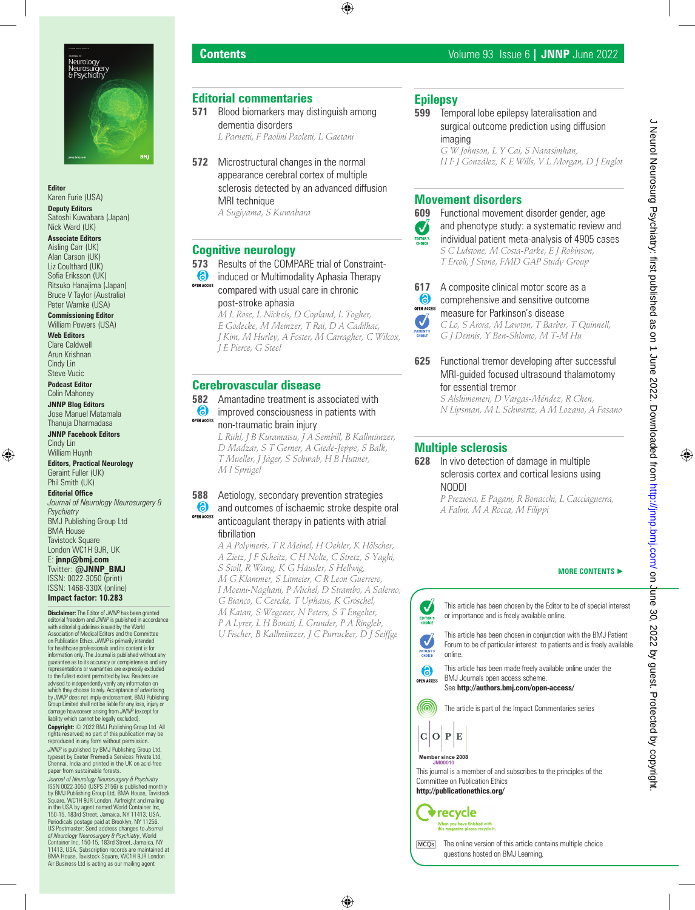

**Editor**

Karen Furie (USA) **Deputy Editors** Satoshi Kuwabara (Japan) Nick Ward (UK)

#### **Associate Editors**

Aisling Carr (UK) Alan Carson (UK) Liz Coulthard (UK) Sofia Eriksson (UK) Ritsuko Hanajima (Japan) Bruce V Taylor (Australia) Peter Warnke (USA)

#### **Commissioning Editor** William Powers (USA)

**Web Editors** Clare Caldwell Arun Krishnan Cindy Lin Steve Vucic

**Podcast Editor** Colin Mahoney

#### **JNNP Blog Editors** Jose Manuel Matamala

Thanuja Dharmadasa **JNNP Facebook Editors** Cindy Lin

William Huynh **Editors, Practical Neurology** Geraint Fuller (UK) Phil Smith (UK)

**Editorial Office** *Journal of Neurology Neurosurgery & Psychiatry*

BMJ Publishing Group Ltd BMA House Tavistock Square London WC1H 9JR, UK

E: **jnnp@bmj.com** Twitter: **@JNNP\_BMJ** ISSN: 0022-3050 (print) ISSN: 1468-330X (online) **Impact factor: 10.283**

**Disclaimer:** The Editor of *JNNP* has been granted editorial freedom and *JNNP* is published in accordance with editorial guidelines issued by the World Association of Medical Editors and the Committee on Publication Ethics. *JNNP* is primarily intended for healthcare professionals and its content is for information only. The Journal is published without any guarantee as to its accuracy or completeness and any representations or warranties are expressly excluded to the fullest extent permitted by law. Readers are advised to independently verify any information on which they choose to rely. Acceptance of advertising by *JNNP* does not imply endorsement. BMJ Publishing<br>Group Limited shall not be liable for any loss, injury or<br>damage howsoever arising from *JNNP* (except for<br>liability which cannot be legally excluded).

**Copyright:** © 2022 BMJ Publishing Group Ltd. All ts reserved; no part of this publication may be reproduced in any form without permission.

*JNNP* is published by BMJ Publishing Group Ltd, typeset by Exeter Premedia Services Private Ltd, Chennai, India and printed in the UK on acid-free paper from sustainable forests.

*Journal of Neurology Neurosurgery & Psychiatry*  ISSN 0022-3050 (USPS 2156) is published monthly by BMJ Publishing Group Ltd, BMA House, Tavistock Square, WC1H 9JR London. Airfreight and mailing in the USA by agent named World Container Inc, 150-15, 183rd Street, Jamaica, NY 11413, USA. Periodicals postage paid at Brooklyn, NY 11256. US Postmaster: Send address changes to *Journal of Neurology Neurosurgery & Psychiatry*, World Container Inc, 150-15, 183rd Street, Jamaica, NY 11413, USA. Subscription records are maintained at BMA House, Tavistock Square, WC1H 9JR London Air Business Ltd is acting as our mailing age

# **Editorial commentaries**

- **571** Blood biomarkers may distinguish among dementia disorders *L Parnetti, F Paolini Paoletti, L Gaetani*
- **572** Microstructural changes in the normal appearance cerebral cortex of multiple sclerosis detected by an advanced diffusion MRI technique

*A Sugiyama, S Kuwabara*

# **Cognitive neurology**

**573** Results of the COMPARE trial of Constraint-

6 induced or Multimodality Aphasia Therapy OPEN ACCESS compared with usual care in chronic post-stroke aphasia

*M L Rose, L Nickels, D Copland, L Togher, E Godecke, M Meinzer, T Rai, D A Cadilhac, J Kim, M Hurley, A Foster, M Carragher, C Wilcox, J E Pierce, G Steel*

### **Cerebrovascular disease**

#### **582** Amantadine treatment is associated with

- 6 improved consciousness in patients with
- **OPEN ACCESS** non-traumatic brain injury *L Rühl, J B Kuramatsu, J A Sembill, B Kallmünzer,*

*D Madzar, S T Gerner, A Giede-Jeppe, S Balk, T Mueller, J Jäger, S Schwab, H B Huttner, M I Sprügel*

#### **588** Aetiology, secondary prevention strategies 6 and outcomes of ischaemic stroke despite oral **OPEN ACCESS** anticoagulant therapy in patients with atrial fibrillation

*A A Polymeris, T R Meinel, H Oehler, K Hölscher, A Zietz, J F Scheitz, C H Nolte, C Stretz, S Yaghi, S Stoll, R Wang, K G Häusler, S Hellwig, M G Klammer, S Litmeier, C R Leon Guerrero, I Moeini-Naghani, P Michel, D Strambo, A Salerno, G Bianco, C Cereda, T Uphaus, K Gröschel, M Katan, S Wegener, N Peters, S T Engelter, P A Lyrer, L H Bonati, L Grunder, P A Ringleb, U Fischer, B Kallmünzer, J C Purrucker, D J Seiffge*

# **Epilepsy**

**599** Temporal lobe epilepsy lateralisation and surgical outcome prediction using diffusion imaging *G W Johnson, L Y Cai, S Narasimhan,* 

*H F J González, K E Wills, V L Morgan, D J Englot*

### **Movement disorders**



 $\boldsymbol{J}$ **ATTENT**<br>CHOICE

**609** Functional movement disorder gender, age and phenotype study: a systematic review and individual patient meta-analysis of 4905 cases *S C Lidstone, M Costa-Parke, E J Robinson, T Ercoli, J Stone, FMD GAP Study Group*

**617** A composite clinical motor score as a<br>**6** comprehensive and sensitive outcome comprehensive and sensitive outcome **OPEN ACCESS** 

measure for Parkinson's disease *C Lo, S Arora, M Lawton, T Barber, T Quinnell, G J Dennis, Y Ben-Shlomo, M T-M Hu*

**625** Functional tremor developing after successful MRI-guided focused ultrasound thalamotomy for essential tremor

*S Alshimemeri, D Vargas-Méndez, R Chen, N Lipsman, M L Schwartz, A M Lozano, A Fasano*

# **Multiple sclerosis**

#### **628** In vivo detection of damage in multiple sclerosis cortex and cortical lesions using NODDI

*P Preziosa, E Pagani, R Bonacchi, L Cacciaguerra, A Falini, M A Rocca, M Filippi*

#### **MORE CONTENTS** ►